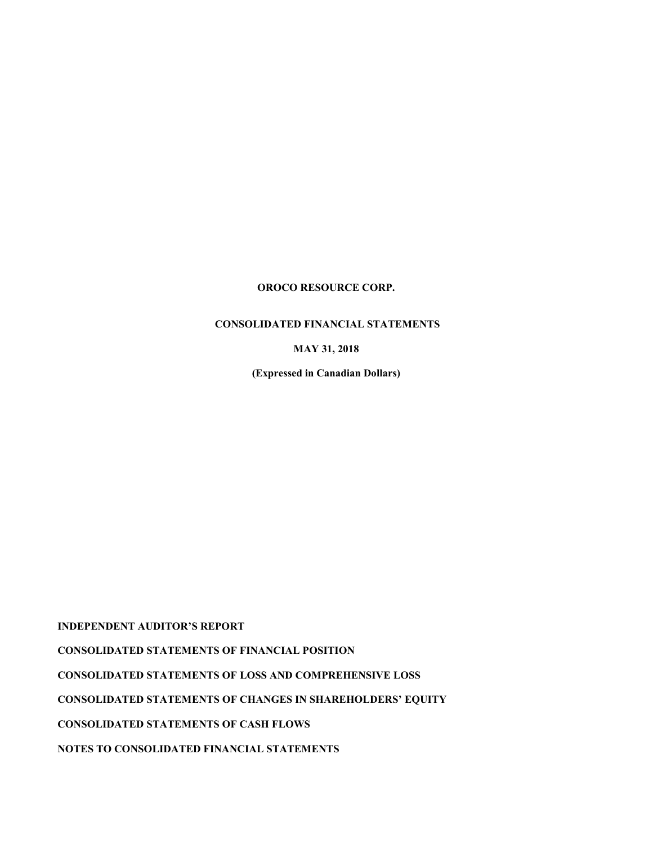## **CONSOLIDATED FINANCIAL STATEMENTS**

**MAY 31, 2018**

**(Expressed in Canadian Dollars)**

**INDEPENDENT AUDITOR'S REPORT** 

**CONSOLIDATED STATEMENTS OF FINANCIAL POSITION** 

**CONSOLIDATED STATEMENTS OF LOSS AND COMPREHENSIVE LOSS**

**CONSOLIDATED STATEMENTS OF CHANGES IN SHAREHOLDERS' EQUITY** 

**CONSOLIDATED STATEMENTS OF CASH FLOWS** 

**NOTES TO CONSOLIDATED FINANCIAL STATEMENTS**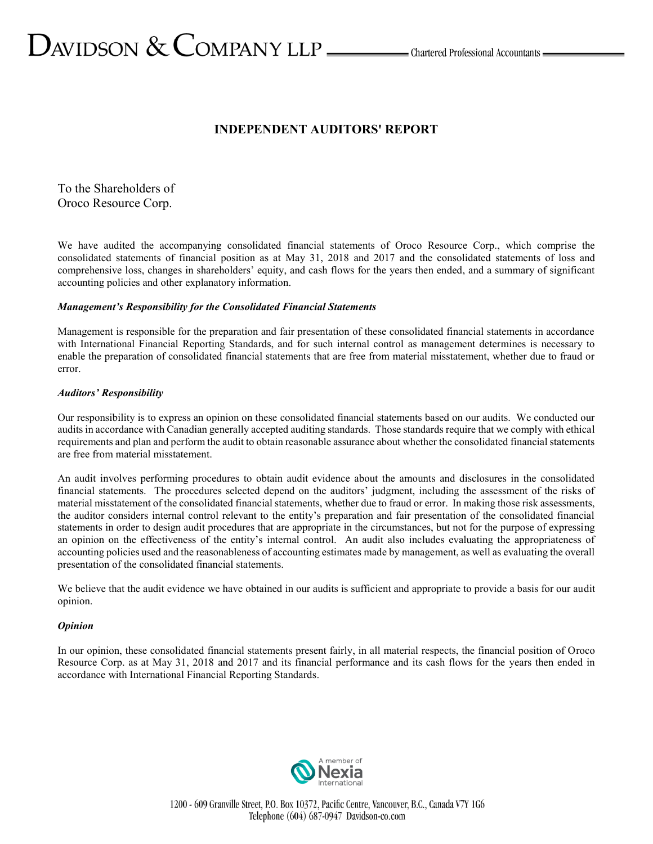# $\sum$ AVIDSON  $\&$  COMPANY LLP  $\_\_\_\_\$ Chartered Professional Accountants  $\_\_\_\$

# **INDEPENDENT AUDITORS' REPORT**

To the Shareholders of Oroco Resource Corp.

We have audited the accompanying consolidated financial statements of Oroco Resource Corp., which comprise the consolidated statements of financial position as at May 31, 2018 and 2017 and the consolidated statements of loss and comprehensive loss, changes in shareholders' equity, and cash flows for the years then ended, and a summary of significant accounting policies and other explanatory information.

## *Management's Responsibility for the Consolidated Financial Statements*

Management is responsible for the preparation and fair presentation of these consolidated financial statements in accordance with International Financial Reporting Standards, and for such internal control as management determines is necessary to enable the preparation of consolidated financial statements that are free from material misstatement, whether due to fraud or error.

## *Auditors' Responsibility*

Our responsibility is to express an opinion on these consolidated financial statements based on our audits. We conducted our audits in accordance with Canadian generally accepted auditing standards. Those standards require that we comply with ethical requirements and plan and perform the audit to obtain reasonable assurance about whether the consolidated financial statements are free from material misstatement.

An audit involves performing procedures to obtain audit evidence about the amounts and disclosures in the consolidated financial statements. The procedures selected depend on the auditors' judgment, including the assessment of the risks of material misstatement of the consolidated financial statements, whether due to fraud or error. In making those risk assessments, the auditor considers internal control relevant to the entity's preparation and fair presentation of the consolidated financial statements in order to design audit procedures that are appropriate in the circumstances, but not for the purpose of expressing an opinion on the effectiveness of the entity's internal control. An audit also includes evaluating the appropriateness of accounting policies used and the reasonableness of accounting estimates made by management, as well as evaluating the overall presentation of the consolidated financial statements.

We believe that the audit evidence we have obtained in our audits is sufficient and appropriate to provide a basis for our audit opinion.

## *Opinion*

In our opinion, these consolidated financial statements present fairly, in all material respects, the financial position of Oroco Resource Corp. as at May 31, 2018 and 2017 and its financial performance and its cash flows for the years then ended in accordance with International Financial Reporting Standards.

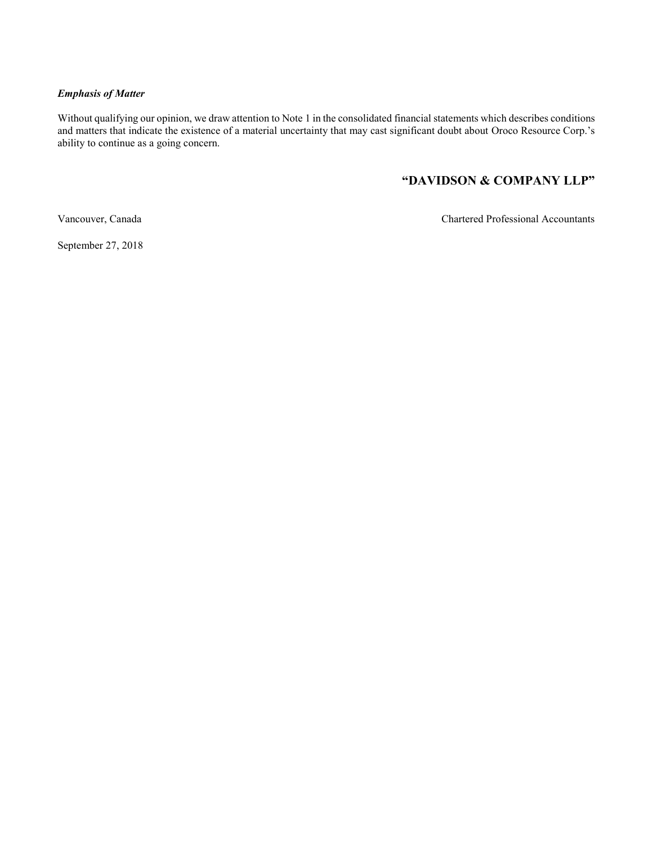## *Emphasis of Matter*

Without qualifying our opinion, we draw attention to Note 1 in the consolidated financial statements which describes conditions and matters that indicate the existence of a material uncertainty that may cast significant doubt about Oroco Resource Corp.'s ability to continue as a going concern.

# **"DAVIDSON & COMPANY LLP"**

Vancouver, Canada Chartered Professional Accountants

September 27, 2018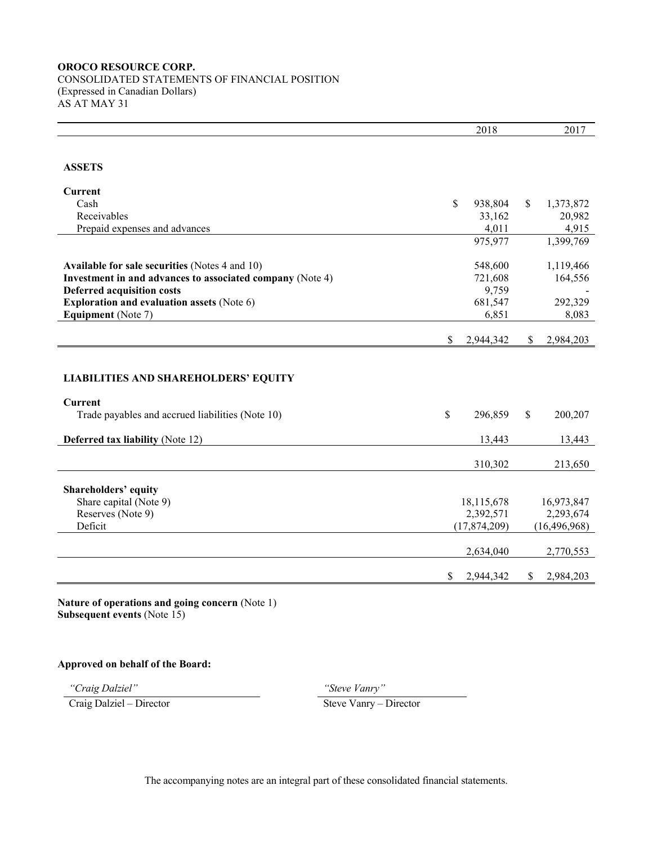## **OROCO RESOURCE CORP.** CONSOLIDATED STATEMENTS OF FINANCIAL POSITION (Expressed in Canadian Dollars) AS AT MAY 31

|                                                           |              | 2018           |               | 2017           |
|-----------------------------------------------------------|--------------|----------------|---------------|----------------|
|                                                           |              |                |               |                |
|                                                           |              |                |               |                |
| <b>ASSETS</b>                                             |              |                |               |                |
| <b>Current</b>                                            |              |                |               |                |
| Cash                                                      | \$           | 938,804        | \$            | 1,373,872      |
| Receivables                                               |              | 33,162         |               | 20,982         |
| Prepaid expenses and advances                             |              | 4,011          |               | 4,915          |
|                                                           |              | 975,977        |               | 1,399,769      |
|                                                           |              |                |               |                |
| <b>Available for sale securities (Notes 4 and 10)</b>     |              | 548,600        |               | 1,119,466      |
| Investment in and advances to associated company (Note 4) |              | 721,608        |               | 164,556        |
| <b>Deferred acquisition costs</b>                         |              | 9,759          |               |                |
| <b>Exploration and evaluation assets (Note 6)</b>         |              | 681,547        |               | 292,329        |
| Equipment (Note 7)                                        |              | 6,851          |               | 8,083          |
|                                                           |              |                |               |                |
|                                                           | \$           | 2,944,342      | $\mathbb{S}$  | 2,984,203      |
|                                                           |              |                |               |                |
|                                                           |              |                |               |                |
| <b>LIABILITIES AND SHAREHOLDERS' EQUITY</b>               |              |                |               |                |
|                                                           |              |                |               |                |
| <b>Current</b>                                            |              |                |               |                |
| Trade payables and accrued liabilities (Note 10)          | $\mathbb{S}$ | 296,859        | $\mathbf S$   | 200,207        |
|                                                           |              |                |               |                |
| <b>Deferred tax liability (Note 12)</b>                   |              | 13,443         |               | 13,443         |
|                                                           |              |                |               |                |
|                                                           |              | 310,302        |               | 213,650        |
|                                                           |              |                |               |                |
| Shareholders' equity                                      |              |                |               |                |
| Share capital (Note 9)                                    |              | 18,115,678     |               | 16,973,847     |
| Reserves (Note 9)                                         |              | 2,392,571      |               | 2,293,674      |
| Deficit                                                   |              | (17, 874, 209) |               | (16, 496, 968) |
|                                                           |              |                |               |                |
|                                                           |              | 2,634,040      |               | 2,770,553      |
|                                                           | \$           | 2,944,342      | <sup>\$</sup> | 2,984,203      |
|                                                           |              |                |               |                |

**Nature of operations and going concern** (Note 1) **Subsequent events** (Note 15)

## **Approved on behalf of the Board:**

Craig Dalziel – Director Steve Vanry – Director

*"Craig Dalziel" "Steve Vanry"*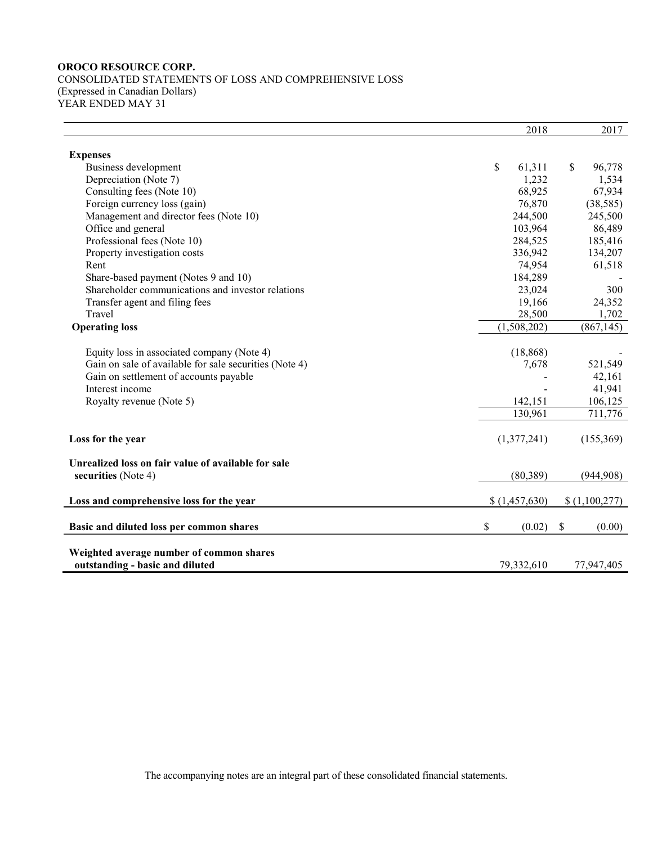CONSOLIDATED STATEMENTS OF LOSS AND COMPREHENSIVE LOSS (Expressed in Canadian Dollars) YEAR ENDED MAY 31

|                                                        | 2018                     | 2017          |
|--------------------------------------------------------|--------------------------|---------------|
|                                                        |                          |               |
| <b>Expenses</b>                                        |                          |               |
| Business development                                   | \$<br>61,311             | \$<br>96,778  |
| Depreciation (Note 7)                                  | 1,232                    | 1,534         |
| Consulting fees (Note 10)                              | 68,925                   | 67,934        |
| Foreign currency loss (gain)                           | 76,870                   | (38, 585)     |
| Management and director fees (Note 10)                 | 244,500                  | 245,500       |
| Office and general                                     | 103,964                  | 86,489        |
| Professional fees (Note 10)                            | 284,525                  | 185,416       |
| Property investigation costs                           | 336,942                  | 134,207       |
| Rent                                                   | 74,954                   | 61,518        |
| Share-based payment (Notes 9 and 10)                   | 184,289                  |               |
| Shareholder communications and investor relations      | 23,024                   | 300           |
| Transfer agent and filing fees                         | 19,166                   | 24,352        |
| Travel                                                 | 28,500                   | 1,702         |
| <b>Operating loss</b>                                  | $\overline{(1,508,202)}$ | (867, 145)    |
|                                                        |                          |               |
| Equity loss in associated company (Note 4)             | (18, 868)                |               |
| Gain on sale of available for sale securities (Note 4) | 7,678                    | 521,549       |
| Gain on settlement of accounts payable                 |                          | 42,161        |
| Interest income                                        |                          | 41,941        |
| Royalty revenue (Note 5)                               | 142,151                  | 106,125       |
|                                                        | 130,961                  | 711,776       |
|                                                        |                          |               |
| Loss for the year                                      | (1,377,241)              | (155, 369)    |
|                                                        |                          |               |
| Unrealized loss on fair value of available for sale    |                          |               |
| securities (Note 4)                                    | (80, 389)                | (944,908)     |
|                                                        |                          |               |
| Loss and comprehensive loss for the year               | \$(1,457,630)            | \$(1,100,277) |
| Basic and diluted loss per common shares               | \$<br>(0.02)             | \$<br>(0.00)  |
|                                                        |                          |               |
| Weighted average number of common shares               |                          |               |
| outstanding - basic and diluted                        | 79,332,610               | 77,947,405    |

The accompanying notes are an integral part of these consolidated financial statements.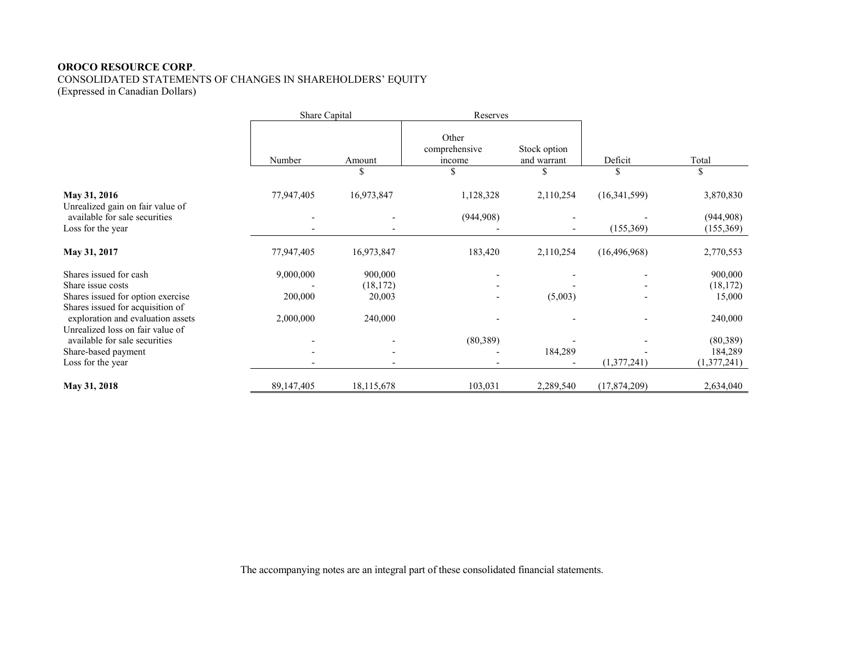CONSOLIDATED STATEMENTS OF CHANGES IN SHAREHOLDERS' EQUITY (Expressed in Canadian Dollars)

|                                                                       | Share Capital |            | Reserves                         |                             |                |                         |
|-----------------------------------------------------------------------|---------------|------------|----------------------------------|-----------------------------|----------------|-------------------------|
|                                                                       | Number        | Amount     | Other<br>comprehensive<br>income | Stock option<br>and warrant | Deficit        | Total                   |
|                                                                       |               | \$         | \$                               | \$                          | \$             | \$                      |
| May 31, 2016<br>Unrealized gain on fair value of                      | 77,947,405    | 16,973,847 | 1,128,328                        | 2,110,254                   | (16,341,599)   | 3,870,830               |
| available for sale securities<br>Loss for the year                    |               |            | (944,908)                        |                             | (155,369)      | (944,908)<br>(155, 369) |
| May 31, 2017                                                          | 77,947,405    | 16,973,847 | 183,420                          | 2,110,254                   | (16, 496, 968) | 2,770,553               |
| Shares issued for cash                                                | 9,000,000     | 900,000    |                                  |                             |                | 900,000                 |
| Share issue costs                                                     |               | (18, 172)  |                                  |                             |                | (18, 172)               |
| Shares issued for option exercise<br>Shares issued for acquisition of | 200,000       | 20,003     |                                  | (5,003)                     |                | 15,000                  |
| exploration and evaluation assets<br>Unrealized loss on fair value of | 2,000,000     | 240,000    |                                  |                             |                | 240,000                 |
| available for sale securities                                         |               |            | (80, 389)                        |                             |                | (80, 389)               |
| Share-based payment                                                   |               |            |                                  | 184,289                     |                | 184,289                 |
| Loss for the year                                                     |               |            |                                  |                             | (1,377,241)    | (1,377,241)             |
| May 31, 2018                                                          | 89, 147, 405  | 18,115,678 | 103,031                          | 2,289,540                   | (17, 874, 209) | 2,634,040               |

The accompanying notes are an integral part of these consolidated financial statements.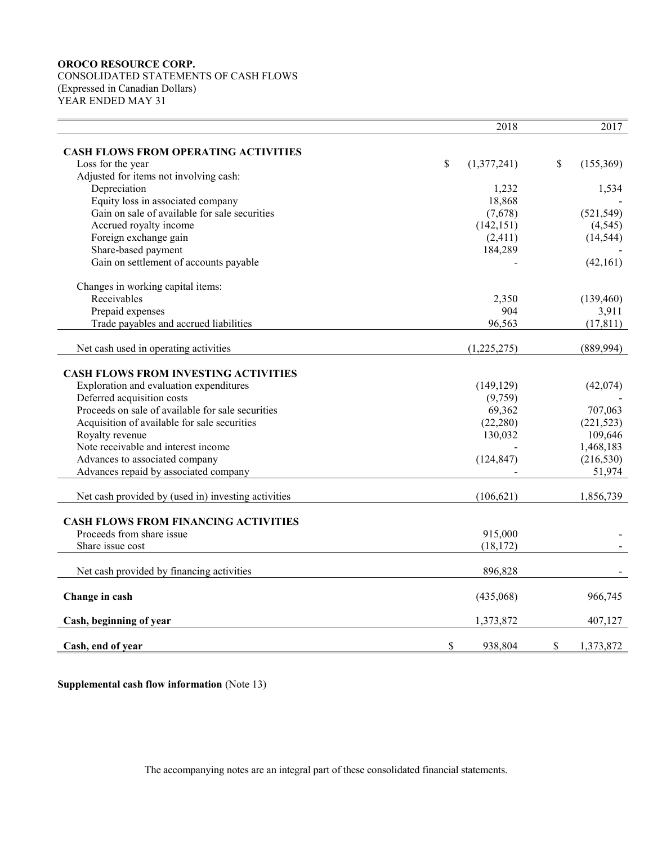CONSOLIDATED STATEMENTS OF CASH FLOWS (Expressed in Canadian Dollars) YEAR ENDED MAY 31

|                                                     | 2018              | 2017            |
|-----------------------------------------------------|-------------------|-----------------|
| <b>CASH FLOWS FROM OPERATING ACTIVITIES</b>         |                   |                 |
| Loss for the year                                   | \$<br>(1,377,241) | \$<br>(155,369) |
| Adjusted for items not involving cash:              |                   |                 |
| Depreciation                                        | 1,232             | 1,534           |
| Equity loss in associated company                   | 18,868            |                 |
| Gain on sale of available for sale securities       | (7,678)           | (521, 549)      |
| Accrued royalty income                              | (142, 151)        | (4, 545)        |
| Foreign exchange gain                               | (2,411)           | (14, 544)       |
| Share-based payment                                 | 184,289           |                 |
| Gain on settlement of accounts payable              |                   | (42,161)        |
|                                                     |                   |                 |
| Changes in working capital items:                   |                   |                 |
| Receivables                                         | 2,350             | (139, 460)      |
| Prepaid expenses                                    | 904               | 3,911           |
| Trade payables and accrued liabilities              | 96,563            | (17, 811)       |
| Net cash used in operating activities               | (1,225,275)       | (889, 994)      |
| <b>CASH FLOWS FROM INVESTING ACTIVITIES</b>         |                   |                 |
| Exploration and evaluation expenditures             | (149, 129)        | (42,074)        |
| Deferred acquisition costs                          | (9,759)           |                 |
| Proceeds on sale of available for sale securities   | 69,362            | 707,063         |
| Acquisition of available for sale securities        | (22, 280)         | (221, 523)      |
| Royalty revenue                                     | 130,032           | 109,646         |
| Note receivable and interest income                 |                   | 1,468,183       |
| Advances to associated company                      | (124, 847)        | (216, 530)      |
| Advances repaid by associated company               |                   | 51,974          |
|                                                     |                   |                 |
| Net cash provided by (used in) investing activities | (106, 621)        | 1,856,739       |
| <b>CASH FLOWS FROM FINANCING ACTIVITIES</b>         |                   |                 |
| Proceeds from share issue                           | 915,000           |                 |
| Share issue cost                                    | (18, 172)         |                 |
|                                                     |                   |                 |
| Net cash provided by financing activities           | 896,828           |                 |
| Change in cash                                      | (435,068)         | 966,745         |
| Cash, beginning of year                             | 1,373,872         | 407,127         |
| Cash, end of year                                   | \$<br>938,804     | \$<br>1,373,872 |

**Supplemental cash flow information** (Note 13)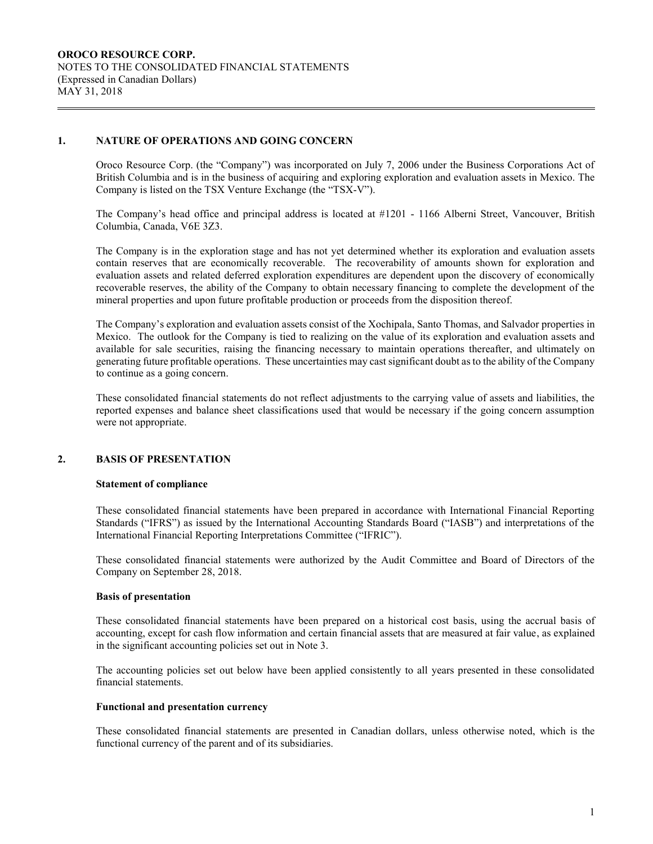## **1. NATURE OF OPERATIONS AND GOING CONCERN**

Oroco Resource Corp. (the "Company") was incorporated on July 7, 2006 under the Business Corporations Act of British Columbia and is in the business of acquiring and exploring exploration and evaluation assets in Mexico. The Company is listed on the TSX Venture Exchange (the "TSX-V").

The Company's head office and principal address is located at #1201 - 1166 Alberni Street, Vancouver, British Columbia, Canada, V6E 3Z3.

The Company is in the exploration stage and has not yet determined whether its exploration and evaluation assets contain reserves that are economically recoverable. The recoverability of amounts shown for exploration and evaluation assets and related deferred exploration expenditures are dependent upon the discovery of economically recoverable reserves, the ability of the Company to obtain necessary financing to complete the development of the mineral properties and upon future profitable production or proceeds from the disposition thereof.

The Company's exploration and evaluation assets consist of the Xochipala, Santo Thomas, and Salvador properties in Mexico. The outlook for the Company is tied to realizing on the value of its exploration and evaluation assets and available for sale securities, raising the financing necessary to maintain operations thereafter, and ultimately on generating future profitable operations. These uncertainties may cast significant doubt as to the ability of the Company to continue as a going concern.

These consolidated financial statements do not reflect adjustments to the carrying value of assets and liabilities, the reported expenses and balance sheet classifications used that would be necessary if the going concern assumption were not appropriate.

## **2. BASIS OF PRESENTATION**

## **Statement of compliance**

These consolidated financial statements have been prepared in accordance with International Financial Reporting Standards ("IFRS") as issued by the International Accounting Standards Board ("IASB") and interpretations of the International Financial Reporting Interpretations Committee ("IFRIC").

These consolidated financial statements were authorized by the Audit Committee and Board of Directors of the Company on September 28, 2018.

#### **Basis of presentation**

These consolidated financial statements have been prepared on a historical cost basis, using the accrual basis of accounting, except for cash flow information and certain financial assets that are measured at fair value, as explained in the significant accounting policies set out in Note 3.

The accounting policies set out below have been applied consistently to all years presented in these consolidated financial statements.

#### **Functional and presentation currency**

These consolidated financial statements are presented in Canadian dollars, unless otherwise noted, which is the functional currency of the parent and of its subsidiaries.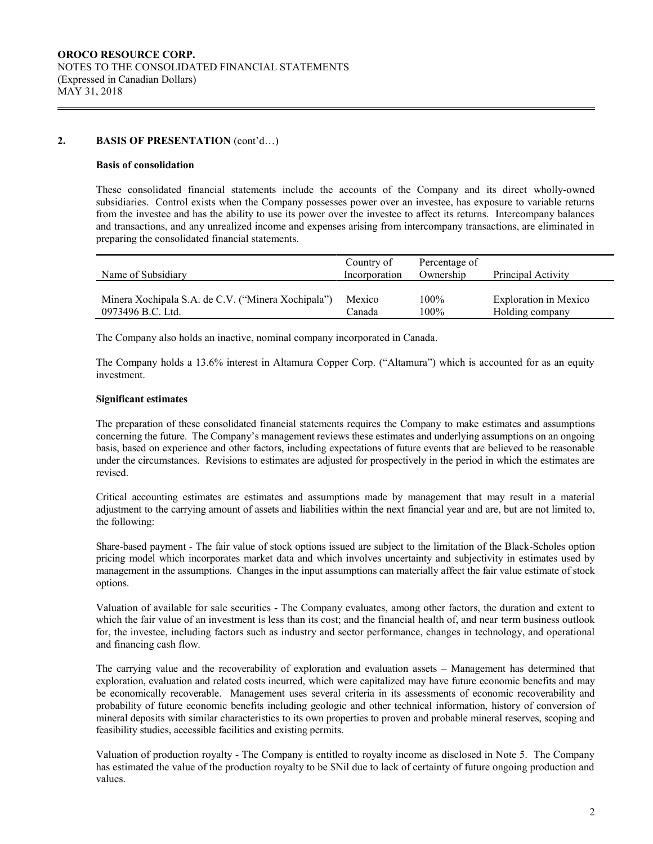## **2. BASIS OF PRESENTATION** (cont'd…)

#### **Basis of consolidation**

These consolidated financial statements include the accounts of the Company and its direct wholly-owned subsidiaries. Control exists when the Company possesses power over an investee, has exposure to variable returns from the investee and has the ability to use its power over the investee to affect its returns. Intercompany balances and transactions, and any unrealized income and expenses arising from intercompany transactions, are eliminated in preparing the consolidated financial statements.

|                                                                         | Country of       | Percentage of      |                                                 |
|-------------------------------------------------------------------------|------------------|--------------------|-------------------------------------------------|
| Name of Subsidiary                                                      | Incorporation    | Ownership          | Principal Activity                              |
| Minera Xochipala S.A. de C.V. ("Minera Xochipala")<br>0973496 B.C. Ltd. | Mexico<br>Canada | $100\%$<br>$100\%$ | <b>Exploration</b> in Mexico<br>Holding company |

The Company also holds an inactive, nominal company incorporated in Canada.

The Company holds a 13.6% interest in Altamura Copper Corp. ("Altamura") which is accounted for as an equity investment.

#### **Significant estimates**

The preparation of these consolidated financial statements requires the Company to make estimates and assumptions concerning the future. The Company's management reviews these estimates and underlying assumptions on an ongoing basis, based on experience and other factors, including expectations of future events that are believed to be reasonable under the circumstances. Revisions to estimates are adjusted for prospectively in the period in which the estimates are revised.

Critical accounting estimates are estimates and assumptions made by management that may result in a material adjustment to the carrying amount of assets and liabilities within the next financial year and are, but are not limited to, the following:

Share-based payment - The fair value of stock options issued are subject to the limitation of the Black-Scholes option pricing model which incorporates market data and which involves uncertainty and subjectivity in estimates used by management in the assumptions. Changes in the input assumptions can materially affect the fair value estimate of stock options.

Valuation of available for sale securities - The Company evaluates, among other factors, the duration and extent to which the fair value of an investment is less than its cost; and the financial health of, and near term business outlook for, the investee, including factors such as industry and sector performance, changes in technology, and operational and financing cash flow.

The carrying value and the recoverability of exploration and evaluation assets – Management has determined that exploration, evaluation and related costs incurred, which were capitalized may have future economic benefits and may be economically recoverable. Management uses several criteria in its assessments of economic recoverability and probability of future economic benefits including geologic and other technical information, history of conversion of mineral deposits with similar characteristics to its own properties to proven and probable mineral reserves, scoping and feasibility studies, accessible facilities and existing permits.

Valuation of production royalty - The Company is entitled to royalty income as disclosed in Note 5. The Company has estimated the value of the production royalty to be \$Nil due to lack of certainty of future ongoing production and values.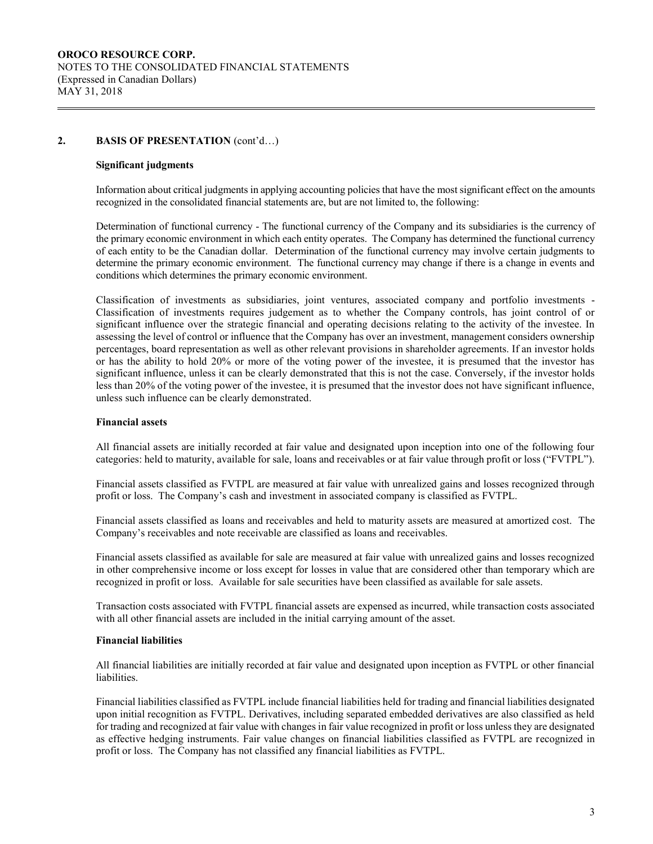## **2. BASIS OF PRESENTATION** (cont'd…)

#### **Significant judgments**

Information about critical judgments in applying accounting policies that have the most significant effect on the amounts recognized in the consolidated financial statements are, but are not limited to, the following:

Determination of functional currency - The functional currency of the Company and its subsidiaries is the currency of the primary economic environment in which each entity operates. The Company has determined the functional currency of each entity to be the Canadian dollar. Determination of the functional currency may involve certain judgments to determine the primary economic environment. The functional currency may change if there is a change in events and conditions which determines the primary economic environment.

Classification of investments as subsidiaries, joint ventures, associated company and portfolio investments - Classification of investments requires judgement as to whether the Company controls, has joint control of or significant influence over the strategic financial and operating decisions relating to the activity of the investee. In assessing the level of control or influence that the Company has over an investment, management considers ownership percentages, board representation as well as other relevant provisions in shareholder agreements. If an investor holds or has the ability to hold 20% or more of the voting power of the investee, it is presumed that the investor has significant influence, unless it can be clearly demonstrated that this is not the case. Conversely, if the investor holds less than 20% of the voting power of the investee, it is presumed that the investor does not have significant influence, unless such influence can be clearly demonstrated.

#### **Financial assets**

All financial assets are initially recorded at fair value and designated upon inception into one of the following four categories: held to maturity, available for sale, loans and receivables or at fair value through profit or loss ("FVTPL").

Financial assets classified as FVTPL are measured at fair value with unrealized gains and losses recognized through profit or loss. The Company's cash and investment in associated company is classified as FVTPL.

Financial assets classified as loans and receivables and held to maturity assets are measured at amortized cost. The Company's receivables and note receivable are classified as loans and receivables.

Financial assets classified as available for sale are measured at fair value with unrealized gains and losses recognized in other comprehensive income or loss except for losses in value that are considered other than temporary which are recognized in profit or loss. Available for sale securities have been classified as available for sale assets.

Transaction costs associated with FVTPL financial assets are expensed as incurred, while transaction costs associated with all other financial assets are included in the initial carrying amount of the asset.

#### **Financial liabilities**

All financial liabilities are initially recorded at fair value and designated upon inception as FVTPL or other financial liabilities.

Financial liabilities classified as FVTPL include financial liabilities held for trading and financial liabilities designated upon initial recognition as FVTPL. Derivatives, including separated embedded derivatives are also classified as held for trading and recognized at fair value with changes in fair value recognized in profit or loss unless they are designated as effective hedging instruments. Fair value changes on financial liabilities classified as FVTPL are recognized in profit or loss. The Company has not classified any financial liabilities as FVTPL.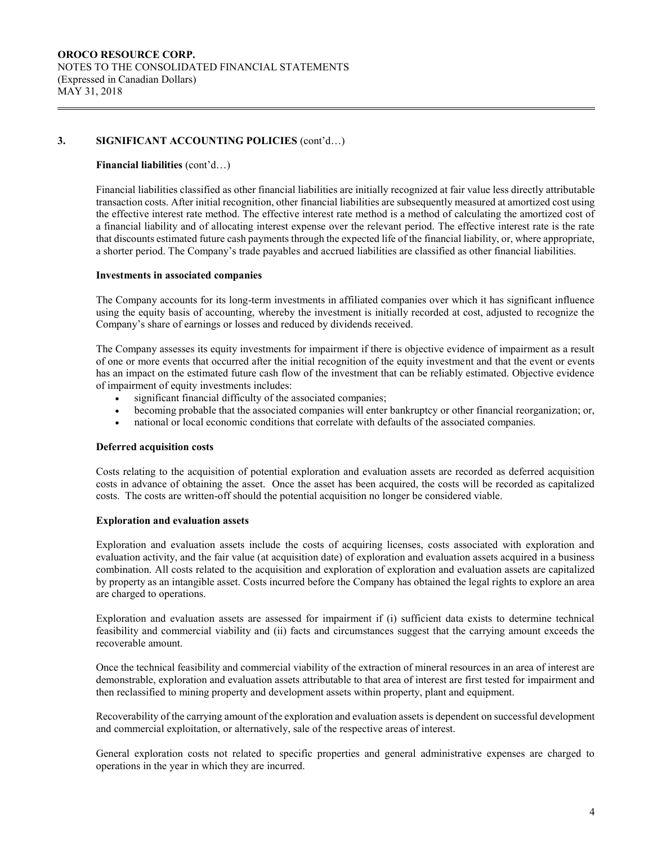#### **Financial liabilities** (cont'd…)

Financial liabilities classified as other financial liabilities are initially recognized at fair value less directly attributable transaction costs. After initial recognition, other financial liabilities are subsequently measured at amortized cost using the effective interest rate method. The effective interest rate method is a method of calculating the amortized cost of a financial liability and of allocating interest expense over the relevant period. The effective interest rate is the rate that discounts estimated future cash payments through the expected life of the financial liability, or, where appropriate, a shorter period. The Company's trade payables and accrued liabilities are classified as other financial liabilities.

#### **Investments in associated companies**

The Company accounts for its long-term investments in affiliated companies over which it has significant influence using the equity basis of accounting, whereby the investment is initially recorded at cost, adjusted to recognize the Company's share of earnings or losses and reduced by dividends received.

The Company assesses its equity investments for impairment if there is objective evidence of impairment as a result of one or more events that occurred after the initial recognition of the equity investment and that the event or events has an impact on the estimated future cash flow of the investment that can be reliably estimated. Objective evidence of impairment of equity investments includes:

- significant financial difficulty of the associated companies;
- becoming probable that the associated companies will enter bankruptcy or other financial reorganization; or,
- national or local economic conditions that correlate with defaults of the associated companies.

#### **Deferred acquisition costs**

Costs relating to the acquisition of potential exploration and evaluation assets are recorded as deferred acquisition costs in advance of obtaining the asset. Once the asset has been acquired, the costs will be recorded as capitalized costs. The costs are written-off should the potential acquisition no longer be considered viable.

#### **Exploration and evaluation assets**

Exploration and evaluation assets include the costs of acquiring licenses, costs associated with exploration and evaluation activity, and the fair value (at acquisition date) of exploration and evaluation assets acquired in a business combination. All costs related to the acquisition and exploration of exploration and evaluation assets are capitalized by property as an intangible asset. Costs incurred before the Company has obtained the legal rights to explore an area are charged to operations.

Exploration and evaluation assets are assessed for impairment if (i) sufficient data exists to determine technical feasibility and commercial viability and (ii) facts and circumstances suggest that the carrying amount exceeds the recoverable amount.

Once the technical feasibility and commercial viability of the extraction of mineral resources in an area of interest are demonstrable, exploration and evaluation assets attributable to that area of interest are first tested for impairment and then reclassified to mining property and development assets within property, plant and equipment.

Recoverability of the carrying amount of the exploration and evaluation assets is dependent on successful development and commercial exploitation, or alternatively, sale of the respective areas of interest.

General exploration costs not related to specific properties and general administrative expenses are charged to operations in the year in which they are incurred.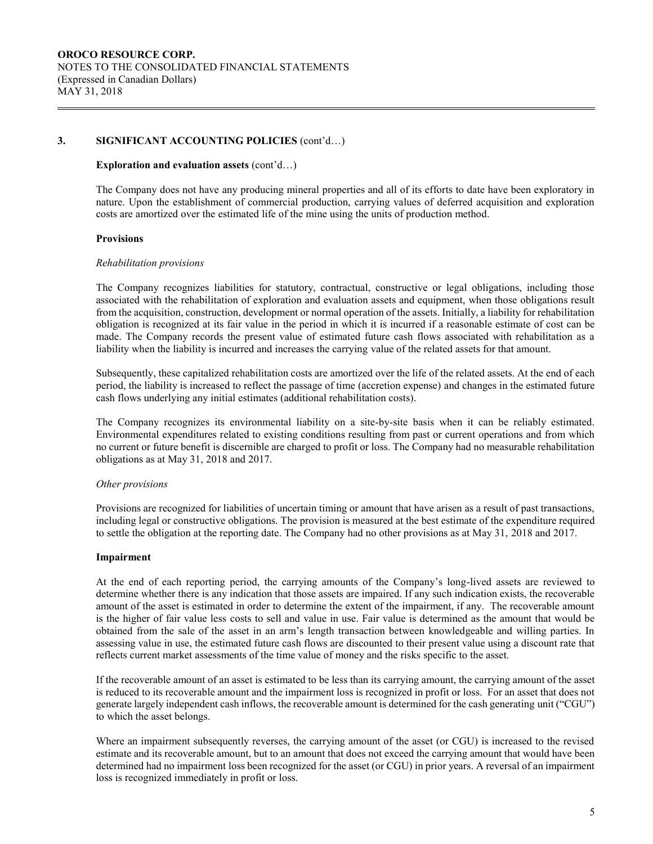#### **Exploration and evaluation assets** (cont'd…)

The Company does not have any producing mineral properties and all of its efforts to date have been exploratory in nature. Upon the establishment of commercial production, carrying values of deferred acquisition and exploration costs are amortized over the estimated life of the mine using the units of production method.

#### **Provisions**

#### *Rehabilitation provisions*

The Company recognizes liabilities for statutory, contractual, constructive or legal obligations, including those associated with the rehabilitation of exploration and evaluation assets and equipment, when those obligations result from the acquisition, construction, development or normal operation of the assets. Initially, a liability for rehabilitation obligation is recognized at its fair value in the period in which it is incurred if a reasonable estimate of cost can be made. The Company records the present value of estimated future cash flows associated with rehabilitation as a liability when the liability is incurred and increases the carrying value of the related assets for that amount.

Subsequently, these capitalized rehabilitation costs are amortized over the life of the related assets. At the end of each period, the liability is increased to reflect the passage of time (accretion expense) and changes in the estimated future cash flows underlying any initial estimates (additional rehabilitation costs).

The Company recognizes its environmental liability on a site-by-site basis when it can be reliably estimated. Environmental expenditures related to existing conditions resulting from past or current operations and from which no current or future benefit is discernible are charged to profit or loss. The Company had no measurable rehabilitation obligations as at May 31, 2018 and 2017.

#### *Other provisions*

Provisions are recognized for liabilities of uncertain timing or amount that have arisen as a result of past transactions, including legal or constructive obligations. The provision is measured at the best estimate of the expenditure required to settle the obligation at the reporting date. The Company had no other provisions as at May 31, 2018 and 2017.

#### **Impairment**

At the end of each reporting period, the carrying amounts of the Company's long-lived assets are reviewed to determine whether there is any indication that those assets are impaired. If any such indication exists, the recoverable amount of the asset is estimated in order to determine the extent of the impairment, if any. The recoverable amount is the higher of fair value less costs to sell and value in use. Fair value is determined as the amount that would be obtained from the sale of the asset in an arm's length transaction between knowledgeable and willing parties. In assessing value in use, the estimated future cash flows are discounted to their present value using a discount rate that reflects current market assessments of the time value of money and the risks specific to the asset.

If the recoverable amount of an asset is estimated to be less than its carrying amount, the carrying amount of the asset is reduced to its recoverable amount and the impairment loss is recognized in profit or loss. For an asset that does not generate largely independent cash inflows, the recoverable amount is determined for the cash generating unit ("CGU") to which the asset belongs.

Where an impairment subsequently reverses, the carrying amount of the asset (or CGU) is increased to the revised estimate and its recoverable amount, but to an amount that does not exceed the carrying amount that would have been determined had no impairment loss been recognized for the asset (or CGU) in prior years. A reversal of an impairment loss is recognized immediately in profit or loss.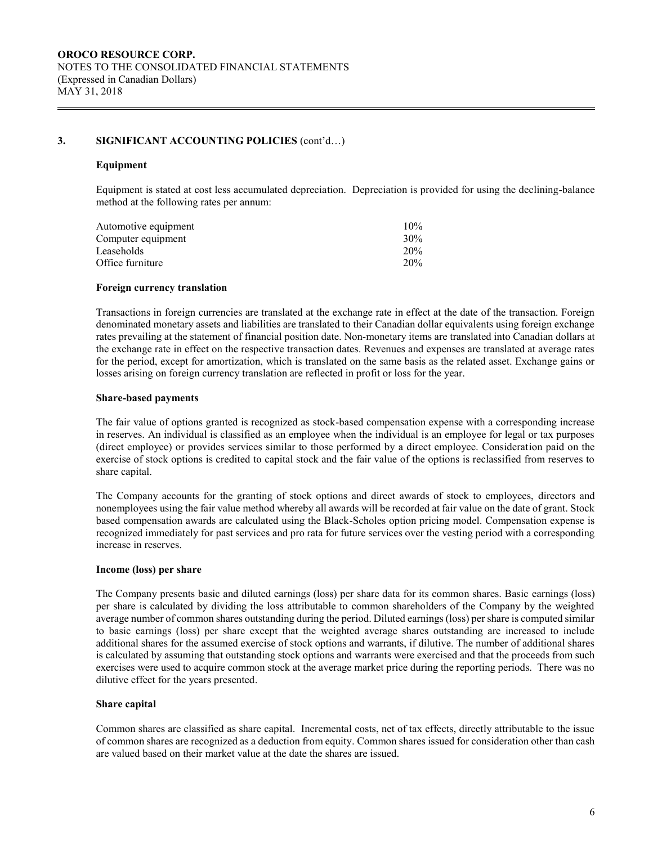#### **Equipment**

Equipment is stated at cost less accumulated depreciation. Depreciation is provided for using the declining-balance method at the following rates per annum:

| Automotive equipment | $10\%$ |
|----------------------|--------|
| Computer equipment   | 30%    |
| Leaseholds           | 20%    |
| Office furniture     | 20%    |
|                      |        |

#### **Foreign currency translation**

Transactions in foreign currencies are translated at the exchange rate in effect at the date of the transaction. Foreign denominated monetary assets and liabilities are translated to their Canadian dollar equivalents using foreign exchange rates prevailing at the statement of financial position date. Non-monetary items are translated into Canadian dollars at the exchange rate in effect on the respective transaction dates. Revenues and expenses are translated at average rates for the period, except for amortization, which is translated on the same basis as the related asset. Exchange gains or losses arising on foreign currency translation are reflected in profit or loss for the year.

#### **Share-based payments**

The fair value of options granted is recognized as stock-based compensation expense with a corresponding increase in reserves. An individual is classified as an employee when the individual is an employee for legal or tax purposes (direct employee) or provides services similar to those performed by a direct employee. Consideration paid on the exercise of stock options is credited to capital stock and the fair value of the options is reclassified from reserves to share capital.

The Company accounts for the granting of stock options and direct awards of stock to employees, directors and nonemployees using the fair value method whereby all awards will be recorded at fair value on the date of grant. Stock based compensation awards are calculated using the Black-Scholes option pricing model. Compensation expense is recognized immediately for past services and pro rata for future services over the vesting period with a corresponding increase in reserves.

#### **Income (loss) per share**

The Company presents basic and diluted earnings (loss) per share data for its common shares. Basic earnings (loss) per share is calculated by dividing the loss attributable to common shareholders of the Company by the weighted average number of common shares outstanding during the period. Diluted earnings (loss) per share is computed similar to basic earnings (loss) per share except that the weighted average shares outstanding are increased to include additional shares for the assumed exercise of stock options and warrants, if dilutive. The number of additional shares is calculated by assuming that outstanding stock options and warrants were exercised and that the proceeds from such exercises were used to acquire common stock at the average market price during the reporting periods. There was no dilutive effect for the years presented.

#### **Share capital**

Common shares are classified as share capital. Incremental costs, net of tax effects, directly attributable to the issue of common shares are recognized as a deduction from equity. Common shares issued for consideration other than cash are valued based on their market value at the date the shares are issued.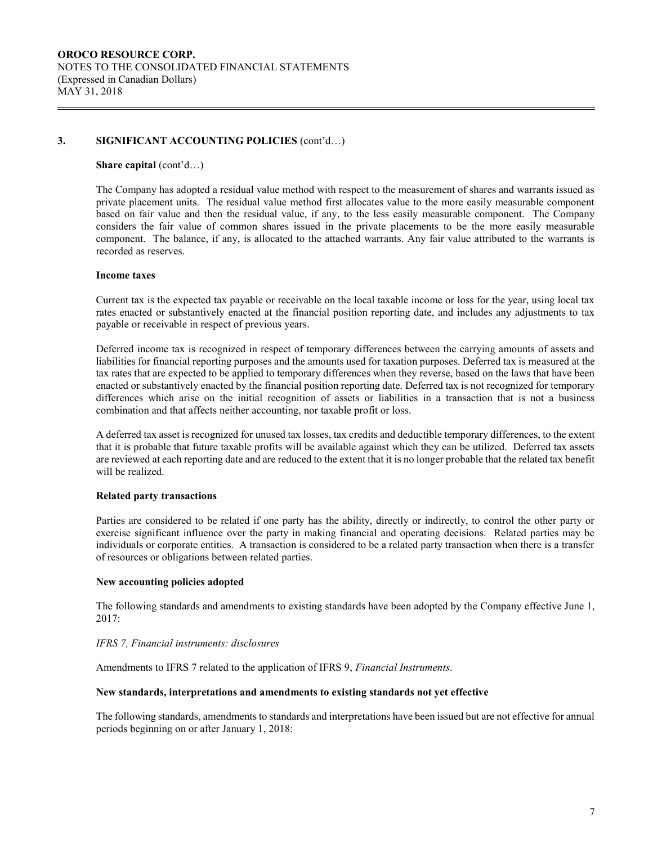#### **Share capital** (cont'd...)

The Company has adopted a residual value method with respect to the measurement of shares and warrants issued as private placement units. The residual value method first allocates value to the more easily measurable component based on fair value and then the residual value, if any, to the less easily measurable component. The Company considers the fair value of common shares issued in the private placements to be the more easily measurable component. The balance, if any, is allocated to the attached warrants. Any fair value attributed to the warrants is recorded as reserves.

#### **Income taxes**

Current tax is the expected tax payable or receivable on the local taxable income or loss for the year, using local tax rates enacted or substantively enacted at the financial position reporting date, and includes any adjustments to tax payable or receivable in respect of previous years.

Deferred income tax is recognized in respect of temporary differences between the carrying amounts of assets and liabilities for financial reporting purposes and the amounts used for taxation purposes. Deferred tax is measured at the tax rates that are expected to be applied to temporary differences when they reverse, based on the laws that have been enacted or substantively enacted by the financial position reporting date. Deferred tax is not recognized for temporary differences which arise on the initial recognition of assets or liabilities in a transaction that is not a business combination and that affects neither accounting, nor taxable profit or loss.

A deferred tax asset is recognized for unused tax losses, tax credits and deductible temporary differences, to the extent that it is probable that future taxable profits will be available against which they can be utilized. Deferred tax assets are reviewed at each reporting date and are reduced to the extent that it is no longer probable that the related tax benefit will be realized.

## **Related party transactions**

Parties are considered to be related if one party has the ability, directly or indirectly, to control the other party or exercise significant influence over the party in making financial and operating decisions. Related parties may be individuals or corporate entities. A transaction is considered to be a related party transaction when there is a transfer of resources or obligations between related parties.

#### **New accounting policies adopted**

The following standards and amendments to existing standards have been adopted by the Company effective June 1, 2017:

## *IFRS 7, Financial instruments: disclosures*

Amendments to IFRS 7 related to the application of IFRS 9, *Financial Instruments*.

#### **New standards, interpretations and amendments to existing standards not yet effective**

The following standards, amendments to standards and interpretations have been issued but are not effective for annual periods beginning on or after January 1, 2018: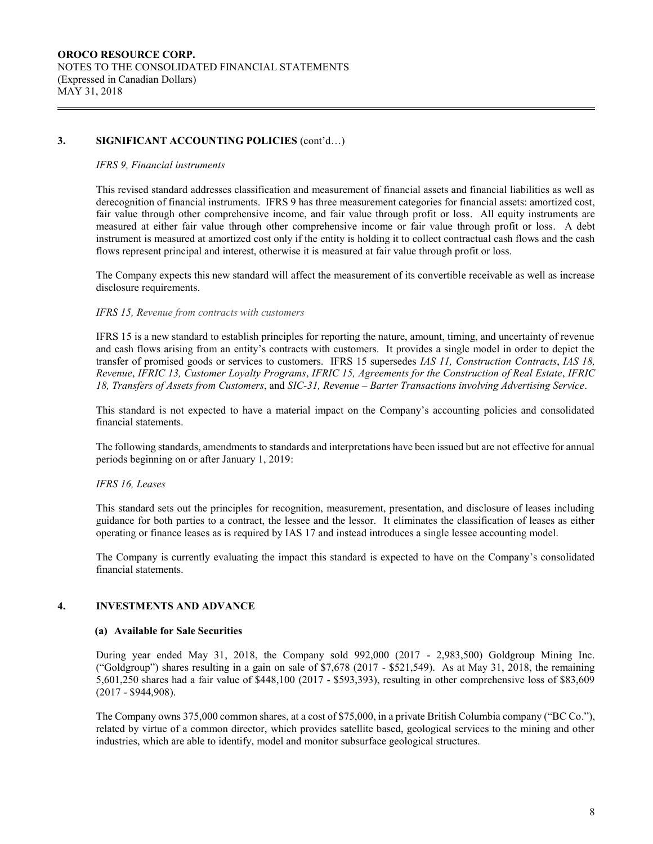#### *IFRS 9, Financial instruments*

This revised standard addresses classification and measurement of financial assets and financial liabilities as well as derecognition of financial instruments. IFRS 9 has three measurement categories for financial assets: amortized cost, fair value through other comprehensive income, and fair value through profit or loss. All equity instruments are measured at either fair value through other comprehensive income or fair value through profit or loss. A debt instrument is measured at amortized cost only if the entity is holding it to collect contractual cash flows and the cash flows represent principal and interest, otherwise it is measured at fair value through profit or loss.

The Company expects this new standard will affect the measurement of its convertible receivable as well as increase disclosure requirements.

#### *IFRS 15, Revenue from contracts with customers*

IFRS 15 is a new standard to establish principles for reporting the nature, amount, timing, and uncertainty of revenue and cash flows arising from an entity's contracts with customers. It provides a single model in order to depict the transfer of promised goods or services to customers. IFRS 15 supersedes *IAS 11, Construction Contracts*, *IAS 18, Revenue*, *IFRIC 13, Customer Loyalty Programs*, *IFRIC 15, Agreements for the Construction of Real Estate*, *IFRIC 18, Transfers of Assets from Customers*, and *SIC-31, Revenue – Barter Transactions involving Advertising Service*.

This standard is not expected to have a material impact on the Company's accounting policies and consolidated financial statements.

The following standards, amendments to standards and interpretations have been issued but are not effective for annual periods beginning on or after January 1, 2019:

#### *IFRS 16, Leases*

This standard sets out the principles for recognition, measurement, presentation, and disclosure of leases including guidance for both parties to a contract, the lessee and the lessor. It eliminates the classification of leases as either operating or finance leases as is required by IAS 17 and instead introduces a single lessee accounting model.

The Company is currently evaluating the impact this standard is expected to have on the Company's consolidated financial statements.

#### **4. INVESTMENTS AND ADVANCE**

#### **(a) Available for Sale Securities**

During year ended May 31, 2018, the Company sold 992,000 (2017 - 2,983,500) Goldgroup Mining Inc. ("Goldgroup") shares resulting in a gain on sale of \$7,678 (2017 - \$521,549). As at May 31, 2018, the remaining 5,601,250 shares had a fair value of \$448,100 (2017 - \$593,393), resulting in other comprehensive loss of \$83,609 (2017 - \$944,908).

The Company owns 375,000 common shares, at a cost of \$75,000, in a private British Columbia company ("BC Co."), related by virtue of a common director, which provides satellite based, geological services to the mining and other industries, which are able to identify, model and monitor subsurface geological structures.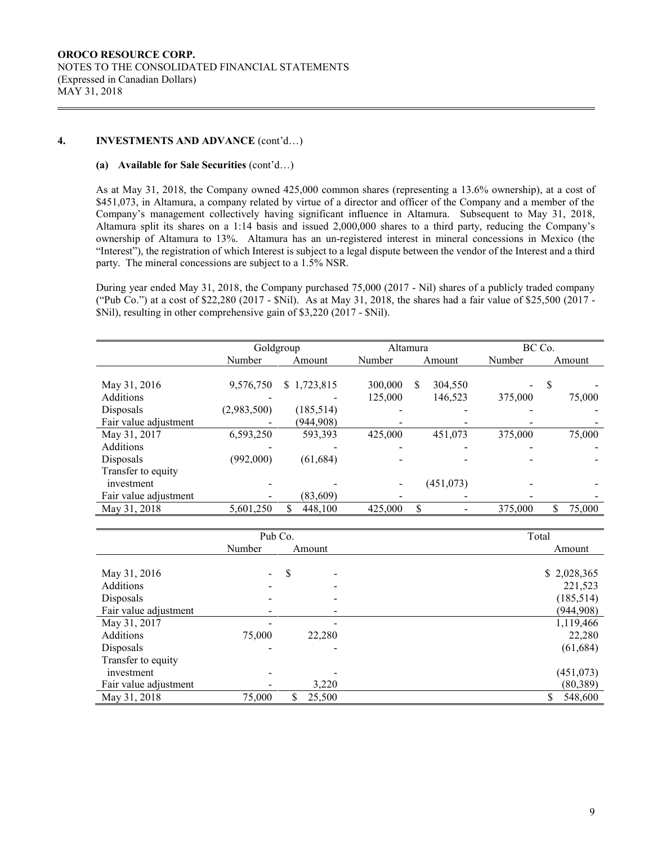## **4. INVESTMENTS AND ADVANCE** (cont'd…)

#### **(a) Available for Sale Securities** (cont'd…)

As at May 31, 2018, the Company owned 425,000 common shares (representing a 13.6% ownership), at a cost of \$451,073, in Altamura, a company related by virtue of a director and officer of the Company and a member of the Company's management collectively having significant influence in Altamura. Subsequent to May 31, 2018, Altamura split its shares on a 1:14 basis and issued 2,000,000 shares to a third party, reducing the Company's ownership of Altamura to 13%. Altamura has an un-registered interest in mineral concessions in Mexico (the "Interest"), the registration of which Interest is subject to a legal dispute between the vendor of the Interest and a third party. The mineral concessions are subject to a 1.5% NSR.

During year ended May 31, 2018, the Company purchased 75,000 (2017 - Nil) shares of a publicly traded company ("Pub Co.") at a cost of \$22,280 (2017 - \$Nil). As at May 31, 2018, the shares had a fair value of \$25,500 (2017 - \$Nil), resulting in other comprehensive gain of \$3,220 (2017 - \$Nil).

| Goldgroup   |               |         |              | BC Co.   |              |  |
|-------------|---------------|---------|--------------|----------|--------------|--|
| Number      | Amount        | Number  | Amount       | Number   | Amount       |  |
|             |               |         |              |          |              |  |
| 9,576,750   | \$1,723,815   | 300,000 | S<br>304,550 |          | S            |  |
|             |               | 125,000 | 146,523      | 375,000  | 75,000       |  |
| (2,983,500) | (185, 514)    |         |              |          |              |  |
|             | (944,908)     |         |              |          |              |  |
| 6,593,250   | 593,393       | 425,000 | 451,073      | 375,000  | 75,000       |  |
|             |               |         |              |          |              |  |
| (992,000)   | (61, 684)     |         |              |          |              |  |
|             |               |         |              |          |              |  |
|             |               |         | (451, 073)   |          |              |  |
|             | (83,609)      |         |              |          |              |  |
| 5,601,250   | \$<br>448,100 | 425,000 | \$           | 375,000  | \$<br>75,000 |  |
|             |               |         |              | Altamura |              |  |

|                       | Pub Co.        |              | Total       |
|-----------------------|----------------|--------------|-------------|
|                       | Number         | Amount       | Amount      |
|                       |                |              |             |
| May 31, 2016          | $\blacksquare$ | \$           | \$2,028,365 |
| <b>Additions</b>      |                |              | 221,523     |
| Disposals             |                |              | (185, 514)  |
| Fair value adjustment |                |              | (944, 908)  |
| May 31, 2017          |                |              | 1,119,466   |
| <b>Additions</b>      | 75,000         | 22,280       | 22,280      |
| Disposals             |                |              | (61, 684)   |
| Transfer to equity    |                |              |             |
| investment            |                |              | (451, 073)  |
| Fair value adjustment |                | 3,220        | (80, 389)   |
| May 31, 2018          | 75,000         | 25,500<br>\$ | 548,600     |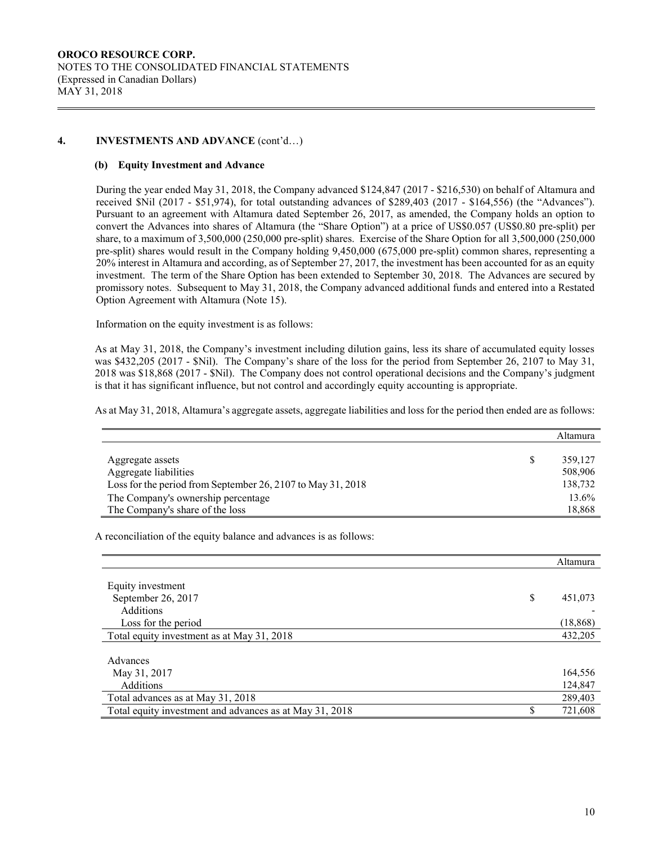## **4. INVESTMENTS AND ADVANCE** (cont'd…)

#### **(b) Equity Investment and Advance**

During the year ended May 31, 2018, the Company advanced \$124,847 (2017 - \$216,530) on behalf of Altamura and received \$Nil (2017 - \$51,974), for total outstanding advances of \$289,403 (2017 - \$164,556) (the "Advances"). Pursuant to an agreement with Altamura dated September 26, 2017, as amended, the Company holds an option to convert the Advances into shares of Altamura (the "Share Option") at a price of US\$0.057 (US\$0.80 pre-split) per share, to a maximum of 3,500,000 (250,000 pre-split) shares. Exercise of the Share Option for all 3,500,000 (250,000 pre-split) shares would result in the Company holding 9,450,000 (675,000 pre-split) common shares, representing a 20% interest in Altamura and according, as of September 27, 2017, the investment has been accounted for as an equity investment. The term of the Share Option has been extended to September 30, 2018. The Advances are secured by promissory notes. Subsequent to May 31, 2018, the Company advanced additional funds and entered into a Restated Option Agreement with Altamura (Note 15).

Information on the equity investment is as follows:

As at May 31, 2018, the Company's investment including dilution gains, less its share of accumulated equity losses was \$432,205 (2017 - \$Nil). The Company's share of the loss for the period from September 26, 2107 to May 31, 2018 was \$18,868 (2017 - \$Nil). The Company does not control operational decisions and the Company's judgment is that it has significant influence, but not control and accordingly equity accounting is appropriate.

As at May 31, 2018, Altamura's aggregate assets, aggregate liabilities and loss for the period then ended are as follows:

|                                                             | Altamura |
|-------------------------------------------------------------|----------|
|                                                             |          |
| Aggregate assets                                            | 359.127  |
| Aggregate liabilities                                       | 508,906  |
| Loss for the period from September 26, 2107 to May 31, 2018 | 138,732  |
| The Company's ownership percentage                          | 13.6%    |
| The Company's share of the loss                             | 18,868   |

A reconciliation of the equity balance and advances is as follows:

|                                                         | Altamura      |
|---------------------------------------------------------|---------------|
| Equity investment                                       |               |
| September 26, 2017                                      | \$<br>451,073 |
| <b>Additions</b>                                        |               |
| Loss for the period                                     | (18, 868)     |
| Total equity investment as at May 31, 2018              | 432,205       |
|                                                         |               |
| Advances                                                |               |
| May 31, 2017                                            | 164,556       |
| <b>Additions</b>                                        | 124,847       |
| Total advances as at May 31, 2018                       | 289,403       |
| Total equity investment and advances as at May 31, 2018 | 721,608       |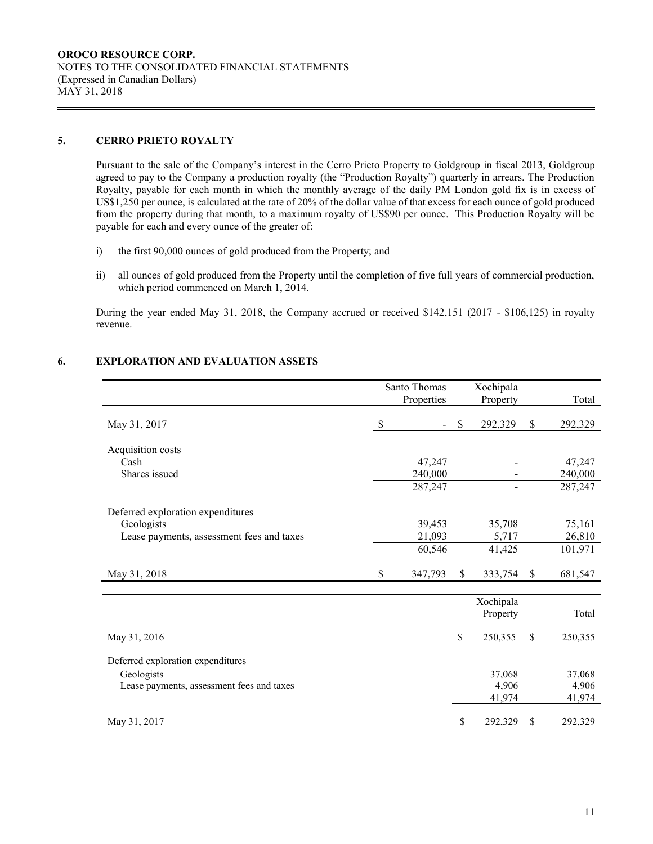## **5. CERRO PRIETO ROYALTY**

Pursuant to the sale of the Company's interest in the Cerro Prieto Property to Goldgroup in fiscal 2013, Goldgroup agreed to pay to the Company a production royalty (the "Production Royalty") quarterly in arrears. The Production Royalty, payable for each month in which the monthly average of the daily PM London gold fix is in excess of US\$1,250 per ounce, is calculated at the rate of 20% of the dollar value of that excess for each ounce of gold produced from the property during that month, to a maximum royalty of US\$90 per ounce. This Production Royalty will be payable for each and every ounce of the greater of:

- i) the first 90,000 ounces of gold produced from the Property; and
- ii) all ounces of gold produced from the Property until the completion of five full years of commercial production, which period commenced on March 1, 2014.

During the year ended May 31, 2018, the Company accrued or received \$142,151 (2017 - \$106,125) in royalty revenue.

## **6. EXPLORATION AND EVALUATION ASSETS**

|                                           | Santo Thomas      | Xochipala     |                   |
|-------------------------------------------|-------------------|---------------|-------------------|
|                                           | Properties        | Property      | Total             |
| May 31, 2017                              | \$                | \$<br>292,329 | \$<br>292,329     |
|                                           |                   |               |                   |
| Acquisition costs                         |                   |               |                   |
| Cash<br>Shares issued                     | 47,247<br>240,000 |               | 47,247<br>240,000 |
|                                           | 287,247           |               | 287,247           |
|                                           |                   |               |                   |
| Deferred exploration expenditures         |                   |               |                   |
| Geologists                                | 39,453            | 35,708        | 75,161            |
| Lease payments, assessment fees and taxes | 21,093            | 5,717         | 26,810            |
|                                           | 60,546            | 41,425        | 101,971           |
|                                           |                   |               |                   |
| May 31, 2018                              | \$<br>347,793     | \$<br>333,754 | \$<br>681,547     |
|                                           |                   |               |                   |
|                                           |                   | Xochipala     |                   |
|                                           |                   | Property      | Total             |
| May 31, 2016                              |                   | \$<br>250,355 | \$<br>250,355     |
|                                           |                   |               |                   |
| Deferred exploration expenditures         |                   |               |                   |
| Geologists                                |                   | 37,068        | 37,068            |
| Lease payments, assessment fees and taxes |                   | 4,906         | 4,906             |
|                                           |                   | 41,974        | 41,974            |
| May 31, 2017                              |                   | \$<br>292,329 | \$<br>292,329     |
|                                           |                   |               |                   |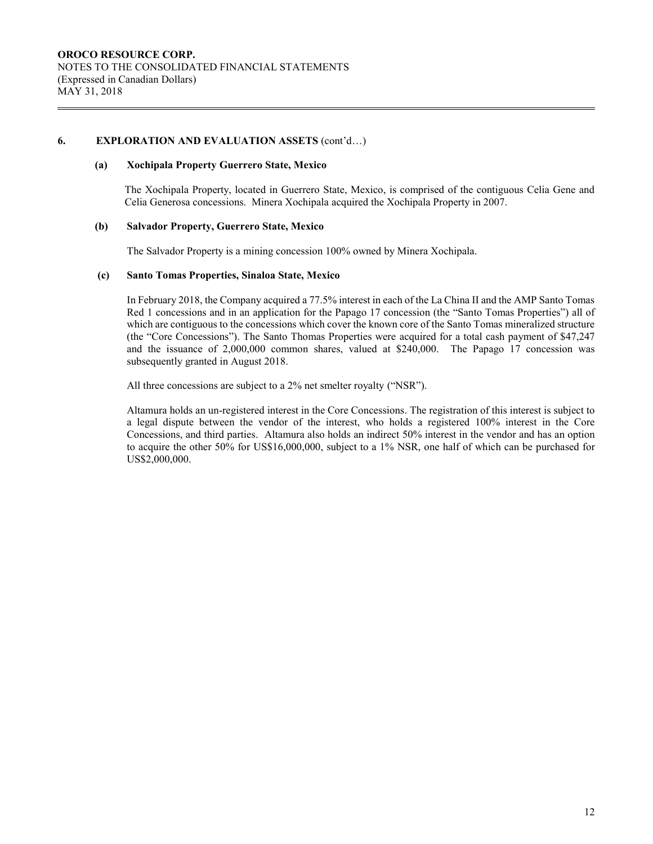## **6. EXPLORATION AND EVALUATION ASSETS** (cont'd…)

#### **(a) Xochipala Property Guerrero State, Mexico**

The Xochipala Property, located in Guerrero State, Mexico, is comprised of the contiguous Celia Gene and Celia Generosa concessions. Minera Xochipala acquired the Xochipala Property in 2007.

#### **(b) Salvador Property, Guerrero State, Mexico**

The Salvador Property is a mining concession 100% owned by Minera Xochipala.

#### **(c) Santo Tomas Properties, Sinaloa State, Mexico**

In February 2018, the Company acquired a 77.5% interest in each of the La China II and the AMP Santo Tomas Red 1 concessions and in an application for the Papago 17 concession (the "Santo Tomas Properties") all of which are contiguous to the concessions which cover the known core of the Santo Tomas mineralized structure (the "Core Concessions"). The Santo Thomas Properties were acquired for a total cash payment of \$47,247 and the issuance of 2,000,000 common shares, valued at \$240,000. The Papago 17 concession was subsequently granted in August 2018.

All three concessions are subject to a 2% net smelter royalty ("NSR").

Altamura holds an un-registered interest in the Core Concessions. The registration of this interest is subject to a legal dispute between the vendor of the interest, who holds a registered 100% interest in the Core Concessions, and third parties. Altamura also holds an indirect 50% interest in the vendor and has an option to acquire the other 50% for US\$16,000,000, subject to a 1% NSR, one half of which can be purchased for US\$2,000,000.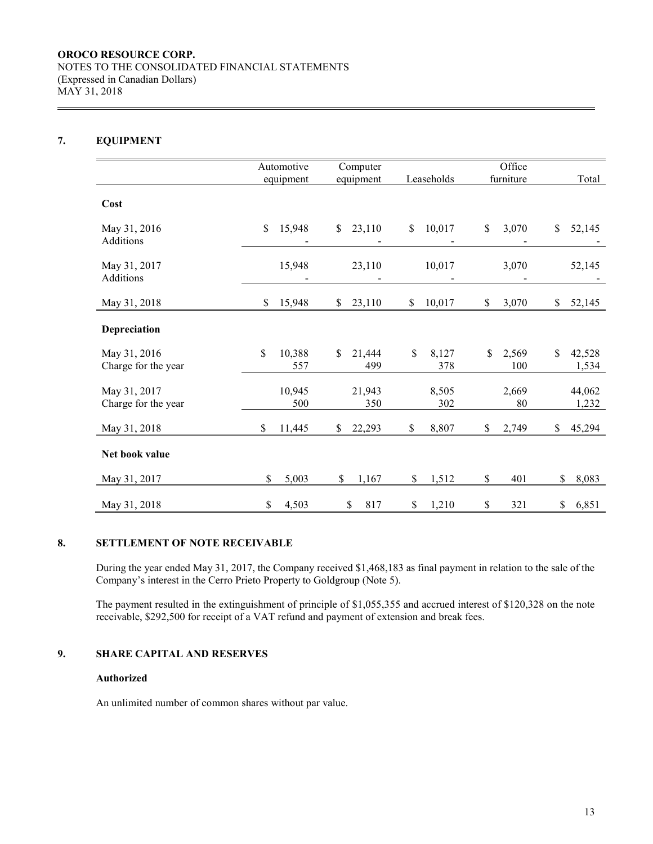# **7. EQUIPMENT**

|                                     | Automotive<br>equipment | Computer<br>equipment | Leaseholds         | Office<br>furniture | Total                 |
|-------------------------------------|-------------------------|-----------------------|--------------------|---------------------|-----------------------|
| Cost                                |                         |                       |                    |                     |                       |
| May 31, 2016                        | $\mathsf{\$}$           | \$                    | \$                 | \$                  | \$                    |
| Additions                           | 15,948                  | 23,110                | 10,017             | 3,070               | 52,145                |
| May 31, 2017<br>Additions           | 15,948                  | 23,110                | 10,017             | 3,070               | 52,145                |
| May 31, 2018                        | \$                      | \$                    | \$                 | \$                  | \$                    |
|                                     | 15,948                  | 23,110                | 10,017             | 3,070               | 52,145                |
| Depreciation                        |                         |                       |                    |                     |                       |
| May 31, 2016<br>Charge for the year | \$<br>10,388<br>557     | \$<br>21,444<br>499   | \$<br>8,127<br>378 | \$<br>2,569<br>100  | \$<br>42,528<br>1,534 |
| May 31, 2017                        | 10,945                  | 21,943                | 8,505              | 2,669               | 44,062                |
| Charge for the year                 | 500                     | 350                   | 302                | 80                  | 1,232                 |
| May 31, 2018                        | \$                      | \$                    | \$                 | \$                  | 45,294                |
|                                     | 11,445                  | 22,293                | 8,807              | 2,749               | \$                    |
| Net book value                      |                         |                       |                    |                     |                       |
| May 31, 2017                        | \$                      | \$                    | \$                 | \$                  | \$                    |
|                                     | 5,003                   | 1,167                 | 1,512              | 401                 | 8,083                 |
| May 31, 2018                        | \$                      | \$                    | \$                 | \$                  | \$                    |
|                                     | 4,503                   | 817                   | 1,210              | 321                 | 6,851                 |

## **8. SETTLEMENT OF NOTE RECEIVABLE**

During the year ended May 31, 2017, the Company received \$1,468,183 as final payment in relation to the sale of the Company's interest in the Cerro Prieto Property to Goldgroup (Note 5).

The payment resulted in the extinguishment of principle of \$1,055,355 and accrued interest of \$120,328 on the note receivable, \$292,500 for receipt of a VAT refund and payment of extension and break fees.

## **9. SHARE CAPITAL AND RESERVES**

#### **Authorized**

An unlimited number of common shares without par value.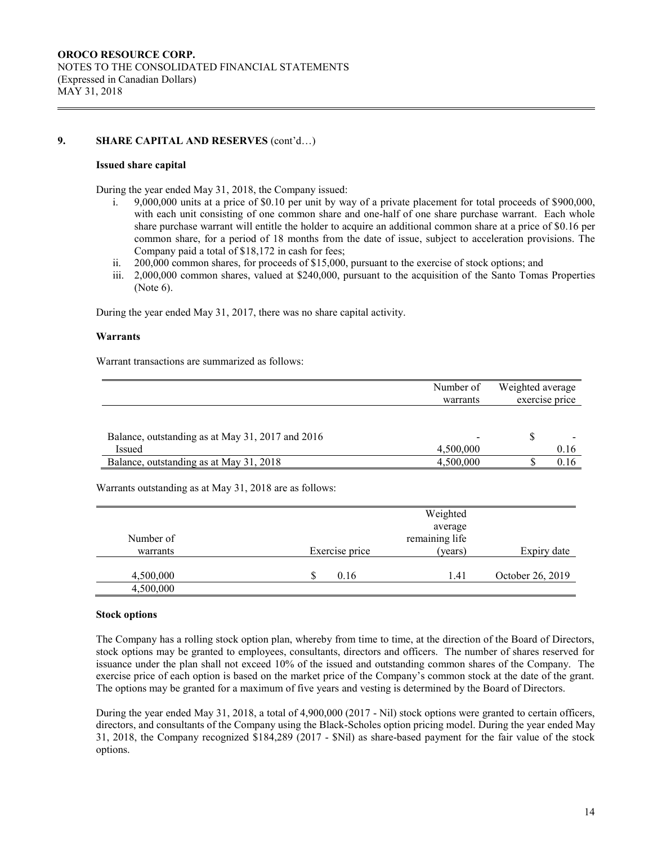## **9. SHARE CAPITAL AND RESERVES** (cont'd…)

#### **Issued share capital**

During the year ended May 31, 2018, the Company issued:

- i. 9,000,000 units at a price of \$0.10 per unit by way of a private placement for total proceeds of \$900,000, with each unit consisting of one common share and one-half of one share purchase warrant. Each whole share purchase warrant will entitle the holder to acquire an additional common share at a price of \$0.16 per common share, for a period of 18 months from the date of issue, subject to acceleration provisions. The Company paid a total of \$18,172 in cash for fees;
- ii. 200,000 common shares, for proceeds of \$15,000, pursuant to the exercise of stock options; and
- iii. 2,000,000 common shares, valued at \$240,000, pursuant to the acquisition of the Santo Tomas Properties (Note 6).

During the year ended May 31, 2017, there was no share capital activity.

#### **Warrants**

Warrant transactions are summarized as follows:

|                                                  | Number of<br>warrants    | Weighted average<br>exercise price |      |
|--------------------------------------------------|--------------------------|------------------------------------|------|
|                                                  |                          |                                    |      |
| Balance, outstanding as at May 31, 2017 and 2016 | $\overline{\phantom{0}}$ |                                    |      |
| Issued                                           | 4,500,000                |                                    | 0.16 |
| Balance, outstanding as at May 31, 2018          | 4,500,000                |                                    | 0.16 |

Warrants outstanding as at May 31, 2018 are as follows:

|           |                | Weighted       |                  |
|-----------|----------------|----------------|------------------|
|           |                | average        |                  |
| Number of |                | remaining life |                  |
| warrants  | Exercise price | (years)        | Expiry date      |
|           |                |                |                  |
| 4,500,000 | 0.16           | 1.41           | October 26, 2019 |
| 4,500,000 |                |                |                  |

#### **Stock options**

The Company has a rolling stock option plan, whereby from time to time, at the direction of the Board of Directors, stock options may be granted to employees, consultants, directors and officers. The number of shares reserved for issuance under the plan shall not exceed 10% of the issued and outstanding common shares of the Company. The exercise price of each option is based on the market price of the Company's common stock at the date of the grant. The options may be granted for a maximum of five years and vesting is determined by the Board of Directors.

During the year ended May 31, 2018, a total of 4,900,000 (2017 - Nil) stock options were granted to certain officers, directors, and consultants of the Company using the Black-Scholes option pricing model. During the year ended May 31, 2018, the Company recognized \$184,289 (2017 - \$Nil) as share-based payment for the fair value of the stock options.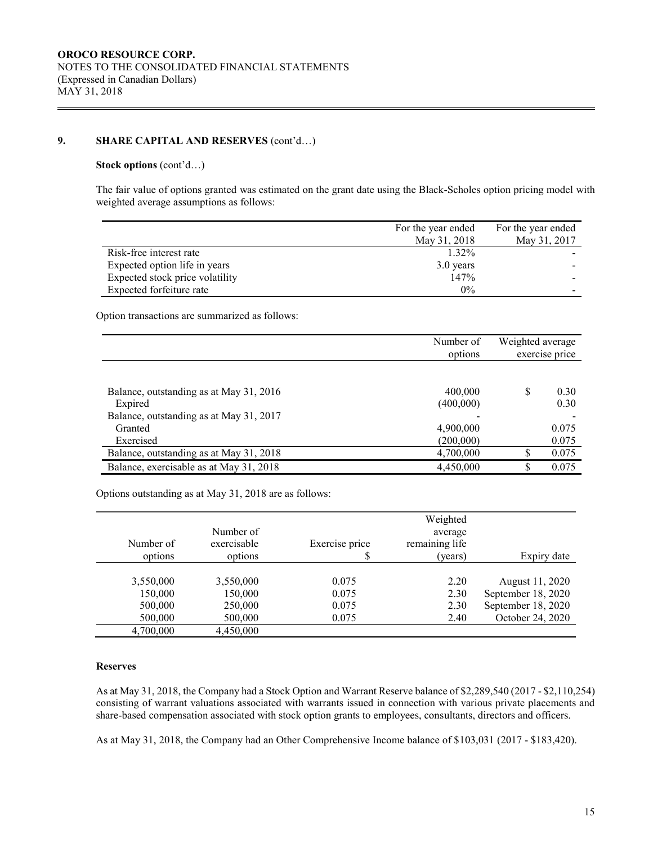# **9. SHARE CAPITAL AND RESERVES** (cont'd…)

#### **Stock options** (cont'd…)

The fair value of options granted was estimated on the grant date using the Black-Scholes option pricing model with weighted average assumptions as follows:

|                                 | For the year ended | For the year ended |
|---------------------------------|--------------------|--------------------|
|                                 | May 31, 2018       | May 31, 2017       |
| Risk-free interest rate         | 1.32%              |                    |
| Expected option life in years   | 3.0 years          |                    |
| Expected stock price volatility | 147%               |                    |
| Expected forfeiture rate        | $0\%$              |                    |

Option transactions are summarized as follows:

|                                                    | Number of<br>options | Weighted average | exercise price |
|----------------------------------------------------|----------------------|------------------|----------------|
|                                                    |                      |                  |                |
| Balance, outstanding as at May 31, 2016<br>Expired | 400,000<br>(400,000) | S                | 0.30<br>0.30   |
| Balance, outstanding as at May 31, 2017            |                      |                  |                |
| Granted                                            | 4,900,000            |                  | 0.075          |
| Exercised                                          | (200,000)            |                  | 0.075          |
| Balance, outstanding as at May 31, 2018            | 4,700,000            |                  | 0.075          |
| Balance, exercisable as at May 31, 2018            | 4,450,000            |                  | 0.075          |

Options outstanding as at May 31, 2018 are as follows:

|           |             |                | Weighted       |                    |
|-----------|-------------|----------------|----------------|--------------------|
|           | Number of   |                | average        |                    |
| Number of | exercisable | Exercise price | remaining life |                    |
| options   | options     | \$             | (years)        | Expiry date        |
|           |             |                |                |                    |
| 3,550,000 | 3,550,000   | 0.075          | 2.20           | August 11, 2020    |
| 150,000   | 150,000     | 0.075          | 2.30           | September 18, 2020 |
| 500,000   | 250,000     | 0.075          | 2.30           | September 18, 2020 |
| 500,000   | 500,000     | 0.075          | 2.40           | October 24, 2020   |
| 4,700,000 | 4,450,000   |                |                |                    |

#### **Reserves**

As at May 31, 2018, the Company had a Stock Option and Warrant Reserve balance of \$2,289,540 (2017 - \$2,110,254) consisting of warrant valuations associated with warrants issued in connection with various private placements and share-based compensation associated with stock option grants to employees, consultants, directors and officers.

As at May 31, 2018, the Company had an Other Comprehensive Income balance of \$103,031 (2017 - \$183,420).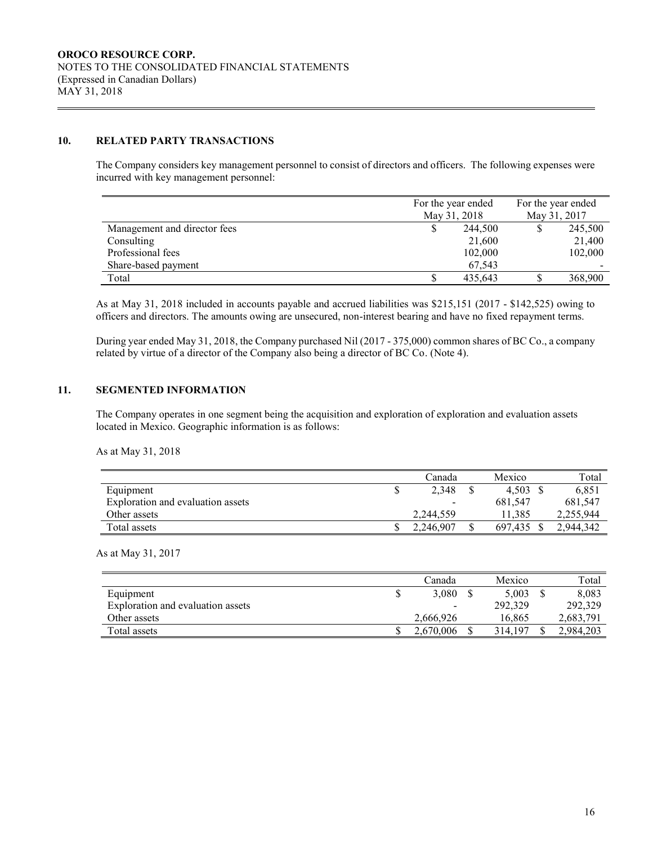## **10. RELATED PARTY TRANSACTIONS**

The Company considers key management personnel to consist of directors and officers. The following expenses were incurred with key management personnel:

|                              | For the year ended<br>May 31, 2018 |  | For the year ended<br>May 31, 2017 |  |
|------------------------------|------------------------------------|--|------------------------------------|--|
| Management and director fees | 244,500                            |  | 245,500                            |  |
| Consulting                   | 21,600                             |  | 21,400                             |  |
| Professional fees            | 102,000                            |  | 102,000                            |  |
| Share-based payment          | 67,543                             |  |                                    |  |
| Total                        | 435.643                            |  | 368,900                            |  |

As at May 31, 2018 included in accounts payable and accrued liabilities was \$215,151 (2017 - \$142,525) owing to officers and directors. The amounts owing are unsecured, non-interest bearing and have no fixed repayment terms.

During year ended May 31, 2018, the Company purchased Nil (2017 - 375,000) common shares of BC Co., a company related by virtue of a director of the Company also being a director of BC Co. (Note 4).

## **11. SEGMENTED INFORMATION**

The Company operates in one segment being the acquisition and exploration of exploration and evaluation assets located in Mexico. Geographic information is as follows:

As at May 31, 2018

|                                   | ∠anada          | Mexico  | Total     |
|-----------------------------------|-----------------|---------|-----------|
| Equipment                         | 2,348           | 4,503   | 6,851     |
| Exploration and evaluation assets | $\qquad \qquad$ | 681,547 | 681,547   |
| Other assets                      | 2.244.559       | 1.385   | 2,255,944 |
| Total assets                      | 2,246,907       | 697.435 | 2.944.342 |

As at May 31, 2017

|                                   | Canada                   | Mexico  | Total     |
|-----------------------------------|--------------------------|---------|-----------|
| Equipment                         | 3,080                    | 5.003   | 8.083     |
| Exploration and evaluation assets | $\overline{\phantom{a}}$ | 292,329 | 292,329   |
| Other assets                      | 2,666,926                | 16.865  | 2,683,791 |
| Total assets                      | 2.670.006                | 314.197 | 2,984,203 |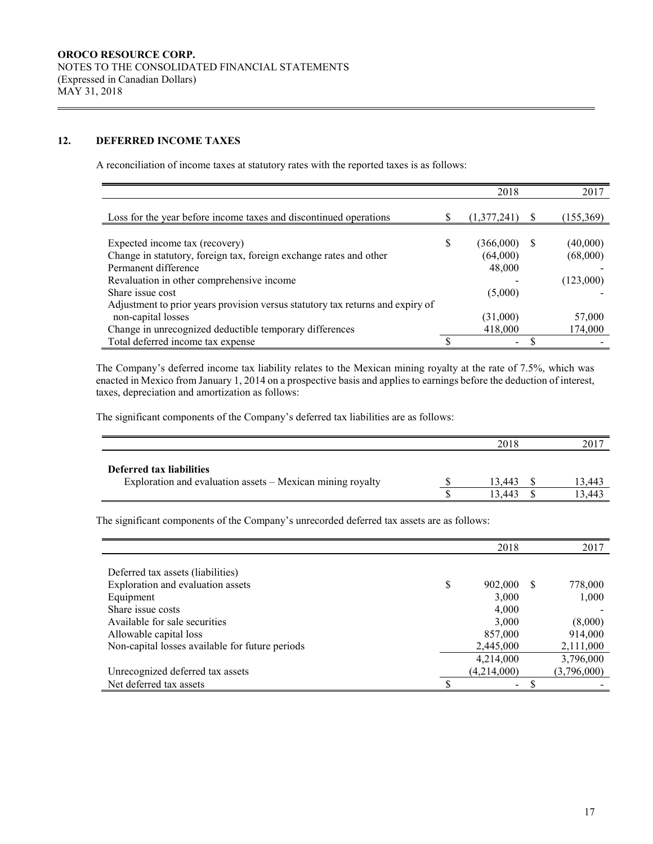## **12. DEFERRED INCOME TAXES**

A reconciliation of income taxes at statutory rates with the reported taxes is as follows:

|                                                                                | 2018        |    | 2017       |
|--------------------------------------------------------------------------------|-------------|----|------------|
| Loss for the year before income taxes and discontinued operations              | (1,377,241) |    | (155, 369) |
| Expected income tax (recovery)                                                 | (366,000)   | S. | (40,000)   |
| Change in statutory, foreign tax, foreign exchange rates and other             | (64,000)    |    | (68,000)   |
| Permanent difference                                                           | 48,000      |    |            |
| Revaluation in other comprehensive income                                      |             |    | (123,000)  |
| Share issue cost                                                               | (5,000)     |    |            |
| Adjustment to prior years provision versus statutory tax returns and expiry of |             |    |            |
| non-capital losses                                                             | (31,000)    |    | 57,000     |
| Change in unrecognized deductible temporary differences                        | 418,000     |    | 174,000    |
| Total deferred income tax expense                                              | -           |    |            |

The Company's deferred income tax liability relates to the Mexican mining royalty at the rate of 7.5%, which was enacted in Mexico from January 1, 2014 on a prospective basis and applies to earnings before the deduction of interest, taxes, depreciation and amortization as follows:

The significant components of the Company's deferred tax liabilities are as follows:

|                                                            | 2018   | 2017   |
|------------------------------------------------------------|--------|--------|
| Deferred tax liabilities                                   | 13.443 | 13,443 |
| Exploration and evaluation assets – Mexican mining royalty | 13.443 | 13.44? |

The significant components of the Company's unrecorded deferred tax assets are as follows:

|                                                 |   | 2018        |    | 2017        |
|-------------------------------------------------|---|-------------|----|-------------|
|                                                 |   |             |    |             |
| Deferred tax assets (liabilities)               |   |             |    |             |
| Exploration and evaluation assets               | S | 902,000     | -S | 778,000     |
| Equipment                                       |   | 3,000       |    | 1,000       |
| Share issue costs                               |   | 4,000       |    |             |
| Available for sale securities                   |   | 3,000       |    | (8,000)     |
| Allowable capital loss                          |   | 857,000     |    | 914,000     |
| Non-capital losses available for future periods |   | 2,445,000   |    | 2,111,000   |
|                                                 |   | 4,214,000   |    | 3,796,000   |
| Unrecognized deferred tax assets                |   | (4,214,000) |    | (3,796,000) |
| Net deferred tax assets                         |   | -           |    |             |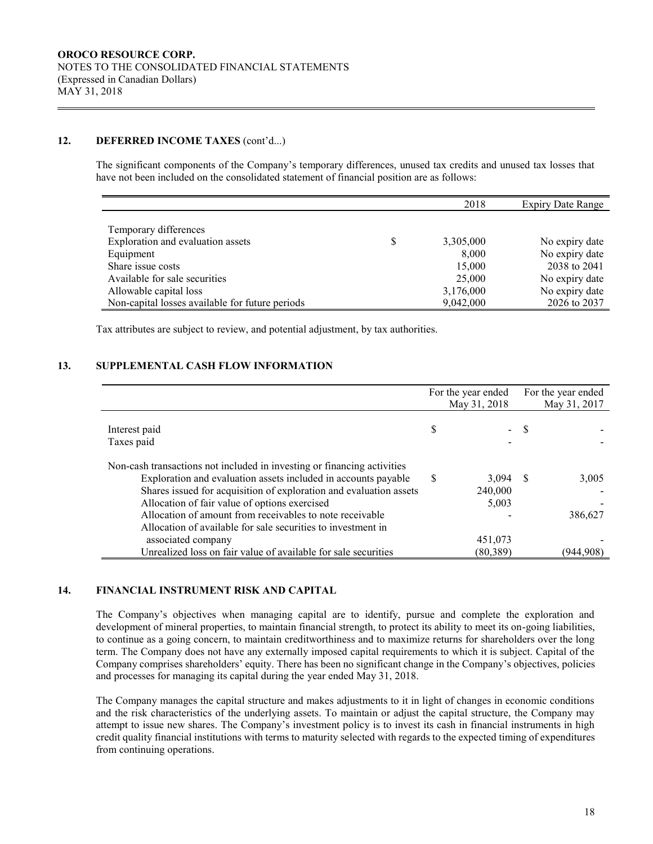## **12. DEFERRED INCOME TAXES** (cont'd...)

The significant components of the Company's temporary differences, unused tax credits and unused tax losses that have not been included on the consolidated statement of financial position are as follows:

|                                                 |   | 2018      | <b>Expiry Date Range</b> |
|-------------------------------------------------|---|-----------|--------------------------|
|                                                 |   |           |                          |
| Temporary differences                           |   |           |                          |
| Exploration and evaluation assets               | S | 3,305,000 | No expiry date           |
| Equipment                                       |   | 8,000     | No expiry date           |
| Share issue costs                               |   | 15,000    | 2038 to 2041             |
| Available for sale securities                   |   | 25,000    | No expiry date           |
| Allowable capital loss                          |   | 3,176,000 | No expiry date           |
| Non-capital losses available for future periods |   | 9,042,000 | 2026 to 2037             |

Tax attributes are subject to review, and potential adjustment, by tax authorities.

#### **13. SUPPLEMENTAL CASH FLOW INFORMATION**

|                                                                         | For the year ended |              | For the year ended |              |
|-------------------------------------------------------------------------|--------------------|--------------|--------------------|--------------|
|                                                                         |                    | May 31, 2018 |                    | May 31, 2017 |
| Interest paid<br>Taxes paid                                             | S                  |              | - \$               |              |
| Non-cash transactions not included in investing or financing activities |                    |              |                    |              |
| Exploration and evaluation assets included in accounts payable          | S.                 | 3,094        | - S                | 3,005        |
| Shares issued for acquisition of exploration and evaluation assets      |                    | 240,000      |                    |              |
| Allocation of fair value of options exercised                           |                    | 5,003        |                    |              |
| Allocation of amount from receivables to note receivable                |                    |              |                    | 386,627      |
| Allocation of available for sale securities to investment in            |                    |              |                    |              |
| associated company                                                      |                    | 451,073      |                    |              |
| Unrealized loss on fair value of available for sale securities          |                    | (80,389)     |                    | (944.908`    |

#### **14. FINANCIAL INSTRUMENT RISK AND CAPITAL**

The Company's objectives when managing capital are to identify, pursue and complete the exploration and development of mineral properties, to maintain financial strength, to protect its ability to meet its on-going liabilities, to continue as a going concern, to maintain creditworthiness and to maximize returns for shareholders over the long term. The Company does not have any externally imposed capital requirements to which it is subject. Capital of the Company comprises shareholders' equity. There has been no significant change in the Company's objectives, policies and processes for managing its capital during the year ended May 31, 2018.

The Company manages the capital structure and makes adjustments to it in light of changes in economic conditions and the risk characteristics of the underlying assets. To maintain or adjust the capital structure, the Company may attempt to issue new shares. The Company's investment policy is to invest its cash in financial instruments in high credit quality financial institutions with terms to maturity selected with regards to the expected timing of expenditures from continuing operations.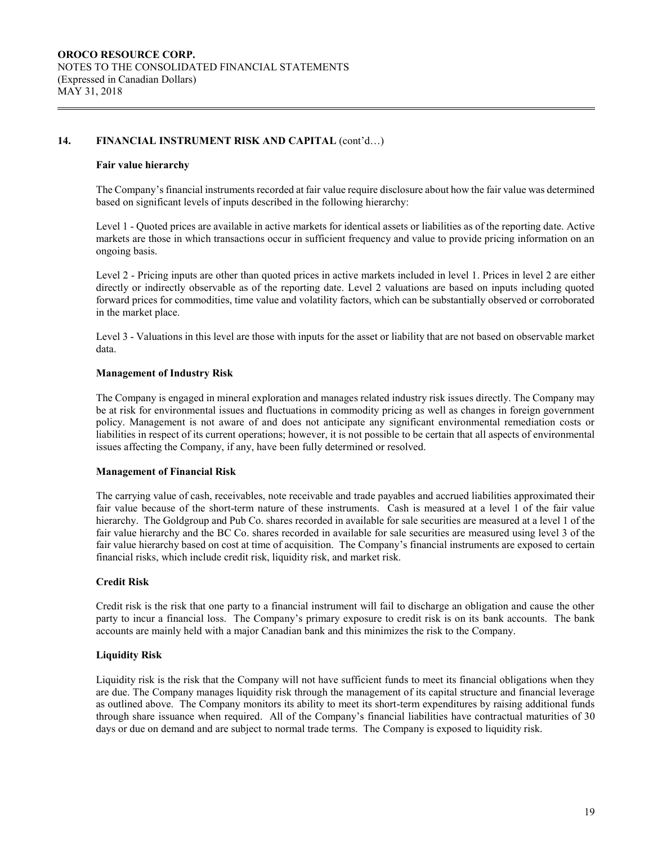## **14. FINANCIAL INSTRUMENT RISK AND CAPITAL** (cont'd…)

#### **Fair value hierarchy**

The Company's financial instruments recorded at fair value require disclosure about how the fair value was determined based on significant levels of inputs described in the following hierarchy:

Level 1 - Quoted prices are available in active markets for identical assets or liabilities as of the reporting date. Active markets are those in which transactions occur in sufficient frequency and value to provide pricing information on an ongoing basis.

Level 2 - Pricing inputs are other than quoted prices in active markets included in level 1. Prices in level 2 are either directly or indirectly observable as of the reporting date. Level 2 valuations are based on inputs including quoted forward prices for commodities, time value and volatility factors, which can be substantially observed or corroborated in the market place.

Level 3 - Valuations in this level are those with inputs for the asset or liability that are not based on observable market data.

#### **Management of Industry Risk**

The Company is engaged in mineral exploration and manages related industry risk issues directly. The Company may be at risk for environmental issues and fluctuations in commodity pricing as well as changes in foreign government policy. Management is not aware of and does not anticipate any significant environmental remediation costs or liabilities in respect of its current operations; however, it is not possible to be certain that all aspects of environmental issues affecting the Company, if any, have been fully determined or resolved.

## **Management of Financial Risk**

The carrying value of cash, receivables, note receivable and trade payables and accrued liabilities approximated their fair value because of the short-term nature of these instruments. Cash is measured at a level 1 of the fair value hierarchy. The Goldgroup and Pub Co. shares recorded in available for sale securities are measured at a level 1 of the fair value hierarchy and the BC Co. shares recorded in available for sale securities are measured using level 3 of the fair value hierarchy based on cost at time of acquisition. The Company's financial instruments are exposed to certain financial risks, which include credit risk, liquidity risk, and market risk.

#### **Credit Risk**

Credit risk is the risk that one party to a financial instrument will fail to discharge an obligation and cause the other party to incur a financial loss. The Company's primary exposure to credit risk is on its bank accounts. The bank accounts are mainly held with a major Canadian bank and this minimizes the risk to the Company.

## **Liquidity Risk**

Liquidity risk is the risk that the Company will not have sufficient funds to meet its financial obligations when they are due. The Company manages liquidity risk through the management of its capital structure and financial leverage as outlined above. The Company monitors its ability to meet its short-term expenditures by raising additional funds through share issuance when required. All of the Company's financial liabilities have contractual maturities of 30 days or due on demand and are subject to normal trade terms. The Company is exposed to liquidity risk.